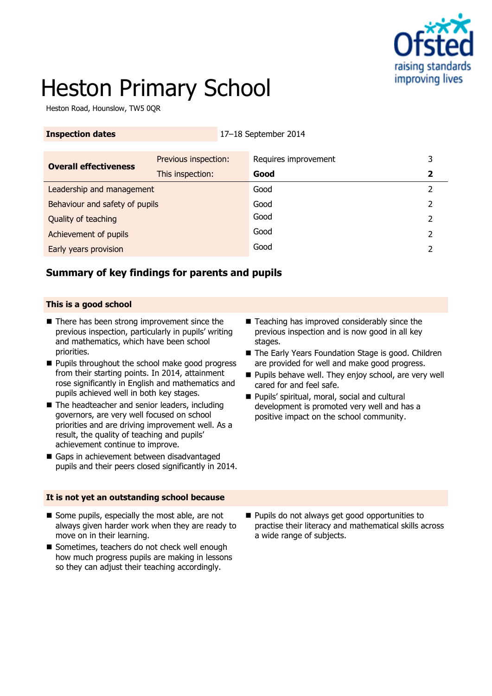

# Heston Primary School

Heston Road, Hounslow, TW5 0QR

| <b>Inspection dates</b> | $17-18$ September 2014 |
|-------------------------|------------------------|
|-------------------------|------------------------|

| <b>Overall effectiveness</b>   | Previous inspection: | Requires improvement | 3 |
|--------------------------------|----------------------|----------------------|---|
|                                | This inspection:     | Good                 |   |
| Leadership and management      |                      | Good                 |   |
| Behaviour and safety of pupils |                      | Good                 |   |
| Quality of teaching            |                      | Good                 |   |
| Achievement of pupils          |                      | Good                 | 2 |
| <b>Early years provision</b>   |                      | Good                 |   |

#### **Summary of key findings for parents and pupils**

#### **This is a good school**

- $\blacksquare$  There has been strong improvement since the previous inspection, particularly in pupils' writing and mathematics, which have been school priorities.
- **Pupils throughout the school make good progress** from their starting points. In 2014, attainment rose significantly in English and mathematics and pupils achieved well in both key stages.
- The headteacher and senior leaders, including governors, are very well focused on school priorities and are driving improvement well. As a result, the quality of teaching and pupils' achievement continue to improve.
- Gaps in achievement between disadvantaged pupils and their peers closed significantly in 2014.

#### **It is not yet an outstanding school because**

- Some pupils, especially the most able, are not always given harder work when they are ready to move on in their learning.
- Sometimes, teachers do not check well enough how much progress pupils are making in lessons so they can adjust their teaching accordingly.
- Teaching has improved considerably since the previous inspection and is now good in all key stages.
- The Early Years Foundation Stage is good. Children are provided for well and make good progress.
- **Pupils behave well. They enjoy school, are very well** cared for and feel safe.
- Pupils' spiritual, moral, social and cultural development is promoted very well and has a positive impact on the school community.

**Pupils do not always get good opportunities to** practise their literacy and mathematical skills across a wide range of subjects.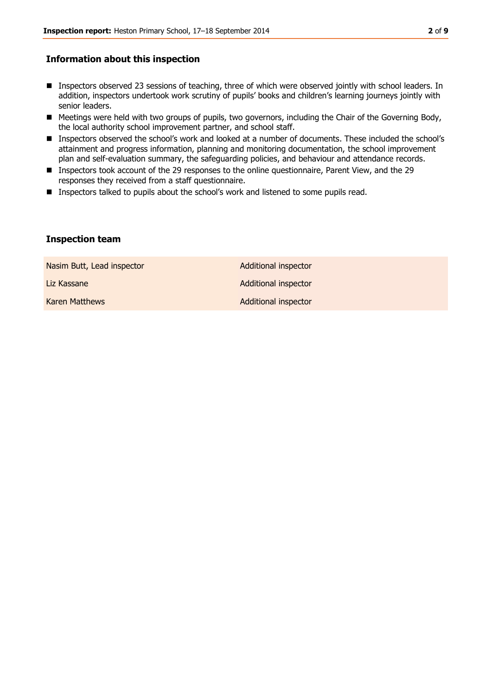#### **Information about this inspection**

- **Inspectors observed 23 sessions of teaching, three of which were observed jointly with school leaders. In** addition, inspectors undertook work scrutiny of pupils' books and children's learning journeys jointly with senior leaders.
- Meetings were held with two groups of pupils, two governors, including the Chair of the Governing Body, the local authority school improvement partner, and school staff.
- Inspectors observed the school's work and looked at a number of documents. These included the school's attainment and progress information, planning and monitoring documentation, the school improvement plan and self-evaluation summary, the safeguarding policies, and behaviour and attendance records.
- **Inspectors took account of the 29 responses to the online questionnaire, Parent View, and the 29** responses they received from a staff questionnaire.
- **Inspectors talked to pupils about the school's work and listened to some pupils read.**

#### **Inspection team**

| Nasim Butt, Lead inspector | Additional inspector        |
|----------------------------|-----------------------------|
| Liz Kassane                | <b>Additional inspector</b> |
| Karen Matthews             | Additional inspector        |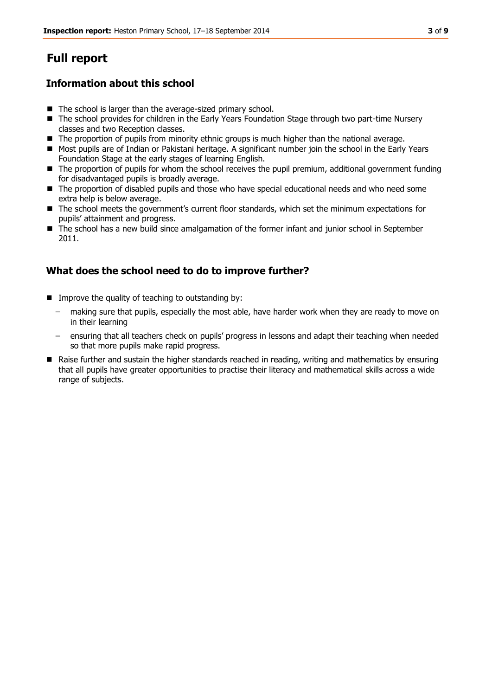# **Full report**

#### **Information about this school**

- $\blacksquare$  The school is larger than the average-sized primary school.
- The school provides for children in the Early Years Foundation Stage through two part-time Nursery classes and two Reception classes.
- $\blacksquare$  The proportion of pupils from minority ethnic groups is much higher than the national average.
- Most pupils are of Indian or Pakistani heritage. A significant number join the school in the Early Years Foundation Stage at the early stages of learning English.
- The proportion of pupils for whom the school receives the pupil premium, additional government funding for disadvantaged pupils is broadly average.
- The proportion of disabled pupils and those who have special educational needs and who need some extra help is below average.
- The school meets the government's current floor standards, which set the minimum expectations for pupils' attainment and progress.
- The school has a new build since amalgamation of the former infant and junior school in September 2011.

#### **What does the school need to do to improve further?**

- **IMPROVE the quality of teaching to outstanding by:** 
	- making sure that pupils, especially the most able, have harder work when they are ready to move on in their learning
	- ensuring that all teachers check on pupils' progress in lessons and adapt their teaching when needed so that more pupils make rapid progress.
- Raise further and sustain the higher standards reached in reading, writing and mathematics by ensuring that all pupils have greater opportunities to practise their literacy and mathematical skills across a wide range of subjects.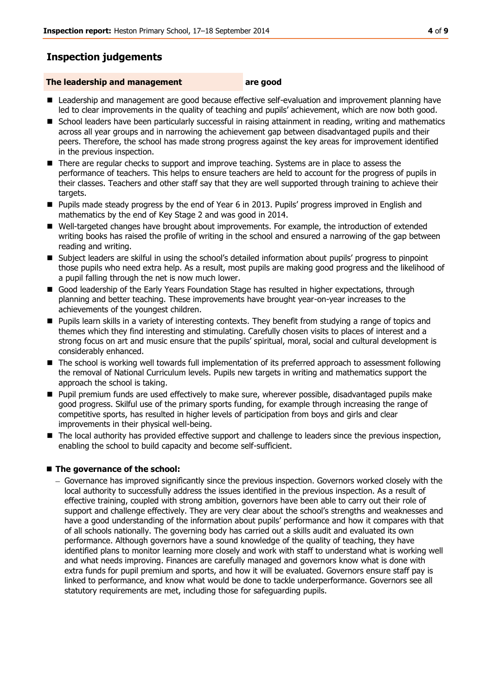## **Inspection judgements**

#### **The leadership and management are good**

- **E** Leadership and management are good because effective self-evaluation and improvement planning have led to clear improvements in the quality of teaching and pupils' achievement, which are now both good.
- School leaders have been particularly successful in raising attainment in reading, writing and mathematics across all year groups and in narrowing the achievement gap between disadvantaged pupils and their peers. Therefore, the school has made strong progress against the key areas for improvement identified in the previous inspection.
- There are regular checks to support and improve teaching. Systems are in place to assess the performance of teachers. This helps to ensure teachers are held to account for the progress of pupils in their classes. Teachers and other staff say that they are well supported through training to achieve their targets.
- **Pupils made steady progress by the end of Year 6 in 2013. Pupils' progress improved in English and** mathematics by the end of Key Stage 2 and was good in 2014.
- Well-targeted changes have brought about improvements. For example, the introduction of extended writing books has raised the profile of writing in the school and ensured a narrowing of the gap between reading and writing.
- Subject leaders are skilful in using the school's detailed information about pupils' progress to pinpoint those pupils who need extra help. As a result, most pupils are making good progress and the likelihood of a pupil falling through the net is now much lower.
- Good leadership of the Early Years Foundation Stage has resulted in higher expectations, through planning and better teaching. These improvements have brought year-on-year increases to the achievements of the youngest children.
- Pupils learn skills in a variety of interesting contexts. They benefit from studying a range of topics and themes which they find interesting and stimulating. Carefully chosen visits to places of interest and a strong focus on art and music ensure that the pupils' spiritual, moral, social and cultural development is considerably enhanced.
- The school is working well towards full implementation of its preferred approach to assessment following the removal of National Curriculum levels. Pupils new targets in writing and mathematics support the approach the school is taking.
- Pupil premium funds are used effectively to make sure, wherever possible, disadvantaged pupils make good progress. Skilful use of the primary sports funding, for example through increasing the range of competitive sports, has resulted in higher levels of participation from boys and girls and clear improvements in their physical well-being.
- The local authority has provided effective support and challenge to leaders since the previous inspection, enabling the school to build capacity and become self-sufficient.

#### ■ The governance of the school:

Governance has improved significantly since the previous inspection. Governors worked closely with the local authority to successfully address the issues identified in the previous inspection. As a result of effective training, coupled with strong ambition, governors have been able to carry out their role of support and challenge effectively. They are very clear about the school's strengths and weaknesses and have a good understanding of the information about pupils' performance and how it compares with that of all schools nationally. The governing body has carried out a skills audit and evaluated its own performance. Although governors have a sound knowledge of the quality of teaching, they have identified plans to monitor learning more closely and work with staff to understand what is working well and what needs improving. Finances are carefully managed and governors know what is done with extra funds for pupil premium and sports, and how it will be evaluated. Governors ensure staff pay is linked to performance, and know what would be done to tackle underperformance. Governors see all statutory requirements are met, including those for safeguarding pupils.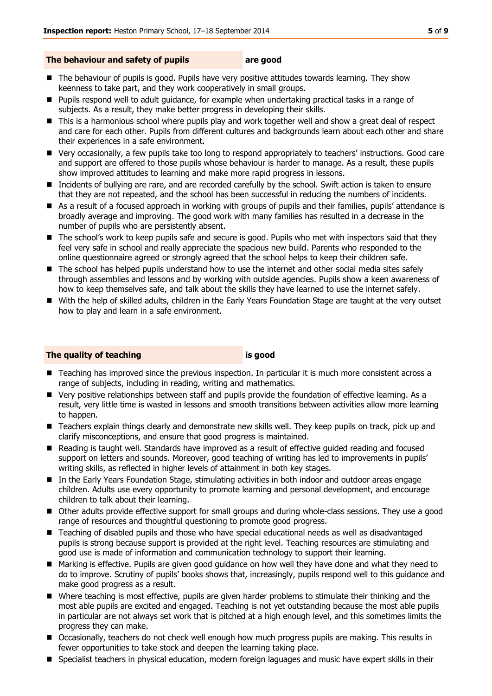#### **The behaviour and safety of pupils are good**

- The behaviour of pupils is good. Pupils have very positive attitudes towards learning. They show keenness to take part, and they work cooperatively in small groups.
- **Pupils respond well to adult guidance, for example when undertaking practical tasks in a range of** subjects. As a result, they make better progress in developing their skills.
- This is a harmonious school where pupils play and work together well and show a great deal of respect and care for each other. Pupils from different cultures and backgrounds learn about each other and share their experiences in a safe environment.
- Very occasionally, a few pupils take too long to respond appropriately to teachers' instructions. Good care and support are offered to those pupils whose behaviour is harder to manage. As a result, these pupils show improved attitudes to learning and make more rapid progress in lessons.
- Incidents of bullying are rare, and are recorded carefully by the school. Swift action is taken to ensure that they are not repeated, and the school has been successful in reducing the numbers of incidents.
- As a result of a focused approach in working with groups of pupils and their families, pupils' attendance is broadly average and improving. The good work with many families has resulted in a decrease in the number of pupils who are persistently absent.
- The school's work to keep pupils safe and secure is good. Pupils who met with inspectors said that they feel very safe in school and really appreciate the spacious new build. Parents who responded to the online questionnaire agreed or strongly agreed that the school helps to keep their children safe.
- The school has helped pupils understand how to use the internet and other social media sites safely through assemblies and lessons and by working with outside agencies. Pupils show a keen awareness of how to keep themselves safe, and talk about the skills they have learned to use the internet safely.
- With the help of skilled adults, children in the Early Years Foundation Stage are taught at the very outset how to play and learn in a safe environment.

#### **The quality of teaching is good**

- Teaching has improved since the previous inspection. In particular it is much more consistent across a range of subjects, including in reading, writing and mathematics.
- Very positive relationships between staff and pupils provide the foundation of effective learning. As a result, very little time is wasted in lessons and smooth transitions between activities allow more learning to happen.
- Teachers explain things clearly and demonstrate new skills well. They keep pupils on track, pick up and clarify misconceptions, and ensure that good progress is maintained.
- Reading is taught well. Standards have improved as a result of effective guided reading and focused support on letters and sounds. Moreover, good teaching of writing has led to improvements in pupils' writing skills, as reflected in higher levels of attainment in both key stages.
- In the Early Years Foundation Stage, stimulating activities in both indoor and outdoor areas engage children. Adults use every opportunity to promote learning and personal development, and encourage children to talk about their learning.
- Other adults provide effective support for small groups and during whole-class sessions. They use a good range of resources and thoughtful questioning to promote good progress.
- Teaching of disabled pupils and those who have special educational needs as well as disadvantaged pupils is strong because support is provided at the right level. Teaching resources are stimulating and good use is made of information and communication technology to support their learning.
- Marking is effective. Pupils are given good guidance on how well they have done and what they need to do to improve. Scrutiny of pupils' books shows that, increasingly, pupils respond well to this guidance and make good progress as a result.
- Where teaching is most effective, pupils are given harder problems to stimulate their thinking and the most able pupils are excited and engaged. Teaching is not yet outstanding because the most able pupils in particular are not always set work that is pitched at a high enough level, and this sometimes limits the progress they can make.
- **Occasionally, teachers do not check well enough how much progress pupils are making. This results in** fewer opportunities to take stock and deepen the learning taking place.
- **Specialist teachers in physical education, modern foreign laguages and music have expert skills in their**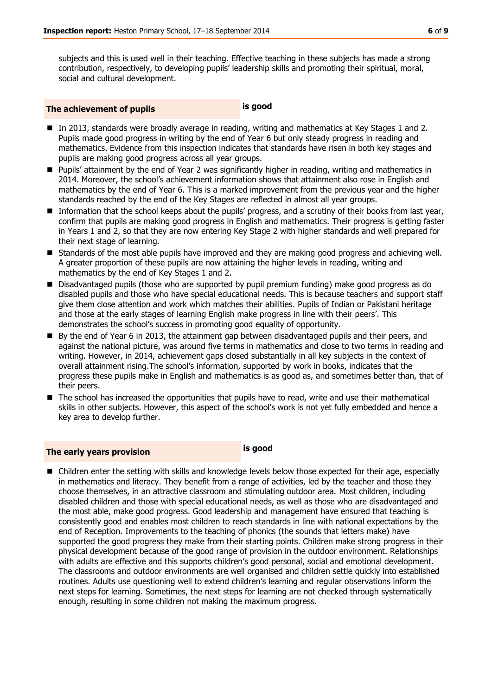subjects and this is used well in their teaching. Effective teaching in these subjects has made a strong contribution, respectively, to developing pupils' leadership skills and promoting their spiritual, moral, social and cultural development.

#### **The achievement of pupils is good**

- In 2013, standards were broadly average in reading, writing and mathematics at Key Stages 1 and 2. Pupils made good progress in writing by the end of Year 6 but only steady progress in reading and mathematics. Evidence from this inspection indicates that standards have risen in both key stages and pupils are making good progress across all year groups.
- **Pupils' attainment by the end of Year 2 was significantly higher in reading, writing and mathematics in** 2014. Moreover, the school's achievement information shows that attainment also rose in English and mathematics by the end of Year 6. This is a marked improvement from the previous year and the higher standards reached by the end of the Key Stages are reflected in almost all year groups.
- Information that the school keeps about the pupils' progress, and a scrutiny of their books from last year, confirm that pupils are making good progress in English and mathematics. Their progress is getting faster in Years 1 and 2, so that they are now entering Key Stage 2 with higher standards and well prepared for their next stage of learning.
- **Standards of the most able pupils have improved and they are making good progress and achieving well.** A greater proportion of these pupils are now attaining the higher levels in reading, writing and mathematics by the end of Key Stages 1 and 2.
- Disadvantaged pupils (those who are supported by pupil premium funding) make good progress as do disabled pupils and those who have special educational needs. This is because teachers and support staff give them close attention and work which matches their abilities. Pupils of Indian or Pakistani heritage and those at the early stages of learning English make progress in line with their peers'. This demonstrates the school's success in promoting good equality of opportunity.
- By the end of Year 6 in 2013, the attainment gap between disadvantaged pupils and their peers, and against the national picture, was around five terms in mathematics and close to two terms in reading and writing. However, in 2014, achievement gaps closed substantially in all key subjects in the context of overall attainment rising.The school's information, supported by work in books, indicates that the progress these pupils make in English and mathematics is as good as, and sometimes better than, that of their peers.
- The school has increased the opportunities that pupils have to read, write and use their mathematical skills in other subjects. However, this aspect of the school's work is not yet fully embedded and hence a key area to develop further.

### **The early years provision is good**

■ Children enter the setting with skills and knowledge levels below those expected for their age, especially in mathematics and literacy. They benefit from a range of activities, led by the teacher and those they choose themselves, in an attractive classroom and stimulating outdoor area. Most children, including disabled children and those with special educational needs, as well as those who are disadvantaged and the most able, make good progress. Good leadership and management have ensured that teaching is consistently good and enables most children to reach standards in line with national expectations by the end of Reception. Improvements to the teaching of phonics (the sounds that letters make) have supported the good progress they make from their starting points. Children make strong progress in their physical development because of the good range of provision in the outdoor environment. Relationships with adults are effective and this supports children's good personal, social and emotional development. The classrooms and outdoor environments are well organised and children settle quickly into established routines. Adults use questioning well to extend children's learning and regular observations inform the next steps for learning. Sometimes, the next steps for learning are not checked through systematically enough, resulting in some children not making the maximum progress.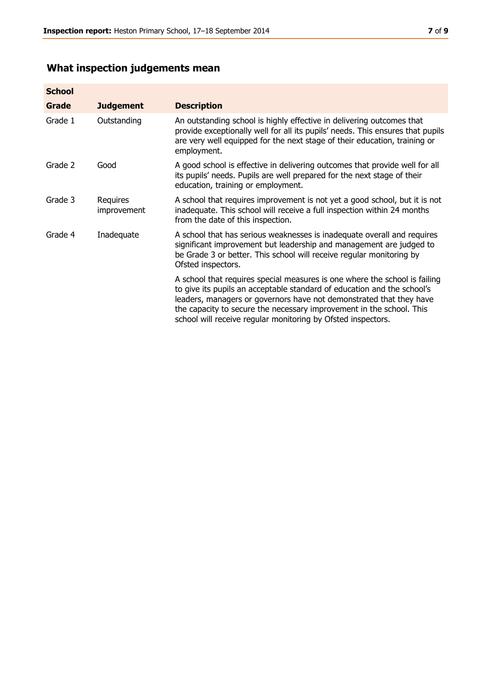# **What inspection judgements mean**

| <b>School</b> |                         |                                                                                                                                                                                                                                                                                                                                                                      |
|---------------|-------------------------|----------------------------------------------------------------------------------------------------------------------------------------------------------------------------------------------------------------------------------------------------------------------------------------------------------------------------------------------------------------------|
| <b>Grade</b>  | <b>Judgement</b>        | <b>Description</b>                                                                                                                                                                                                                                                                                                                                                   |
| Grade 1       | Outstanding             | An outstanding school is highly effective in delivering outcomes that<br>provide exceptionally well for all its pupils' needs. This ensures that pupils<br>are very well equipped for the next stage of their education, training or<br>employment.                                                                                                                  |
| Grade 2       | Good                    | A good school is effective in delivering outcomes that provide well for all<br>its pupils' needs. Pupils are well prepared for the next stage of their<br>education, training or employment.                                                                                                                                                                         |
| Grade 3       | Requires<br>improvement | A school that requires improvement is not yet a good school, but it is not<br>inadequate. This school will receive a full inspection within 24 months<br>from the date of this inspection.                                                                                                                                                                           |
| Grade 4       | Inadequate              | A school that has serious weaknesses is inadequate overall and requires<br>significant improvement but leadership and management are judged to<br>be Grade 3 or better. This school will receive regular monitoring by<br>Ofsted inspectors.                                                                                                                         |
|               |                         | A school that requires special measures is one where the school is failing<br>to give its pupils an acceptable standard of education and the school's<br>leaders, managers or governors have not demonstrated that they have<br>the capacity to secure the necessary improvement in the school. This<br>school will receive regular monitoring by Ofsted inspectors. |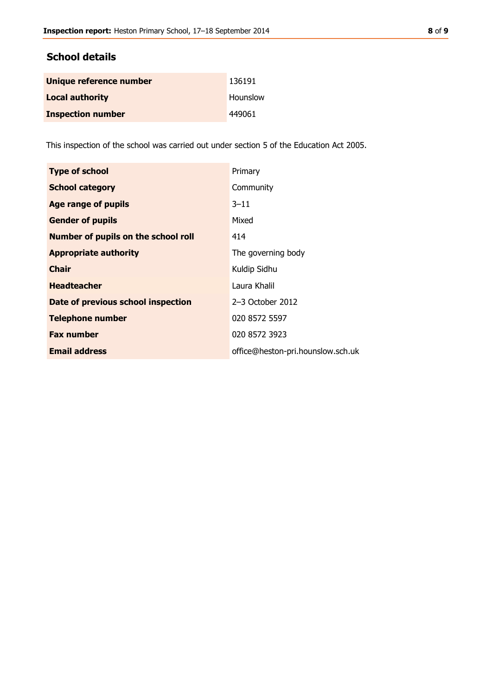#### **School details**

| Unique reference number  | 136191   |
|--------------------------|----------|
| <b>Local authority</b>   | Hounslow |
| <b>Inspection number</b> | 449061   |

This inspection of the school was carried out under section 5 of the Education Act 2005.

| <b>Type of school</b>                      | Primary                           |
|--------------------------------------------|-----------------------------------|
| <b>School category</b>                     | Community                         |
| <b>Age range of pupils</b>                 | $3 - 11$                          |
| <b>Gender of pupils</b>                    | Mixed                             |
| <b>Number of pupils on the school roll</b> | 414                               |
| <b>Appropriate authority</b>               | The governing body                |
| <b>Chair</b>                               | Kuldip Sidhu                      |
| <b>Headteacher</b>                         | Laura Khalil                      |
| Date of previous school inspection         | $2-3$ October 2012                |
| <b>Telephone number</b>                    | 020 8572 5597                     |
| <b>Fax number</b>                          | 020 8572 3923                     |
| <b>Email address</b>                       | office@heston-pri.hounslow.sch.uk |